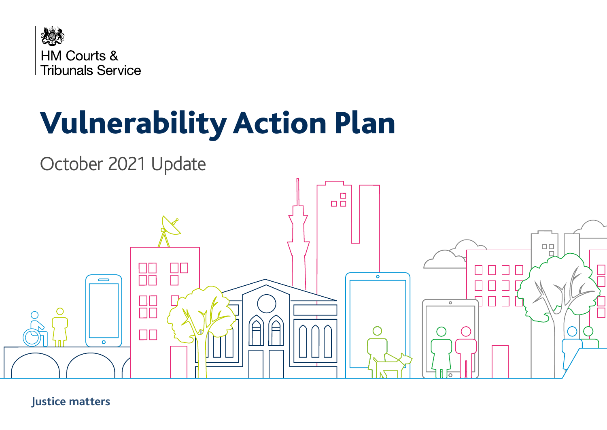

# Vulnerability Action Plan



**Justice matters**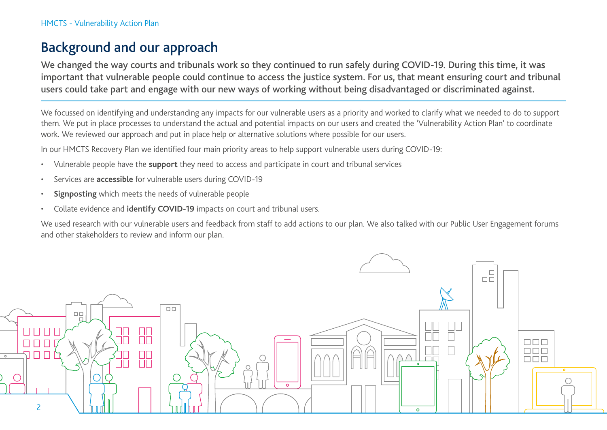# Background and our approach

We changed the way courts and tribunals work so they continued to run safely during COVID-19. During this time, it was important that vulnerable people could continue to access the justice system. For us, that meant ensuring court and tribunal users could take part and engage with our new ways of working without being disadvantaged or discriminated against.

We focussed on identifying and understanding any impacts for our vulnerable users as a priority and worked to clarify what we needed to do to support them. We put in place processes to understand the actual and potential impacts on our users and created the 'Vulnerability Action Plan' to coordinate work. We reviewed our approach and put in place help or alternative solutions where possible for our users.

In our HMCTS Recovery Plan we identified four main priority areas to help support vulnerable users during COVID-19:

- Vulnerable people have the **support** they need to access and participate in court and tribunal services
- Services are **accessible** for vulnerable users during COVID-19
- **Signposting** which meets the needs of vulnerable people
- Collate evidence and **identify COVID-19** impacts on court and tribunal users.

We used research with our vulnerable users and feedback from staff to add actions to our plan. We also talked with our Public User Engagement forums and other stakeholders to review and inform our plan.

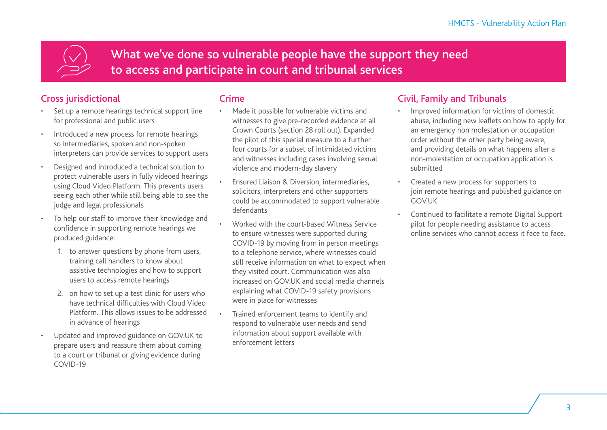What we've done so vulnerable people have the support they need to access and participate in court and tribunal services

## Cross jurisdictional

- Set up a remote hearings technical support line for professional and public users
- Introduced a new process for remote hearings so intermediaries, spoken and non-spoken interpreters can provide services to support users
- Designed and introduced a technical solution to protect vulnerable users in fully videoed hearings using Cloud Video Platform. This prevents users seeing each other while still being able to see the judge and legal professionals
- To help our staff to improve their knowledge and confidence in supporting remote hearings we produced guidance:
	- 1. to answer questions by phone from users, training call handlers to know about assistive technologies and how to support users to access remote hearings
	- 2. on how to set up a test clinic for users who have technical difficulties with Cloud Video Platform. This allows issues to be addressed in advance of hearings
- Updated and improved guidance on GOV.UK to prepare users and reassure them about coming to a court or tribunal or giving evidence during COVID-19

#### **Crime**

- Made it possible for vulnerable victims and witnesses to give pre-recorded evidence at all Crown Courts (section 28 roll out). Expanded the pilot of this special measure to a further four courts for a subset of intimidated victims and witnesses including cases involving sexual violence and modern-day slavery
- Ensured Liaison & Diversion, intermediaries, solicitors, interpreters and other supporters could be accommodated to support vulnerable defendants
- Worked with the court-based Witness Service to ensure witnesses were supported during COVID-19 by moving from in person meetings to a telephone service, where witnesses could still receive information on what to expect when they visited court. Communication was also increased on GOV.UK and social media channels explaining what COVID-19 safety provisions were in place for witnesses
- Trained enforcement teams to identify and respond to vulnerable user needs and send information about support available with enforcement letters

#### Civil, Family and Tribunals

- Improved information for victims of domestic abuse, including new leaflets on how to apply for an emergency non molestation or occupation order without the other party being aware, and providing details on what happens after a non-molestation or occupation application is submitted
- Created a new process for supporters to join remote hearings and published guidance on **GOVUK**
- Continued to facilitate a remote Digital Support pilot for people needing assistance to access online services who cannot access it face to face.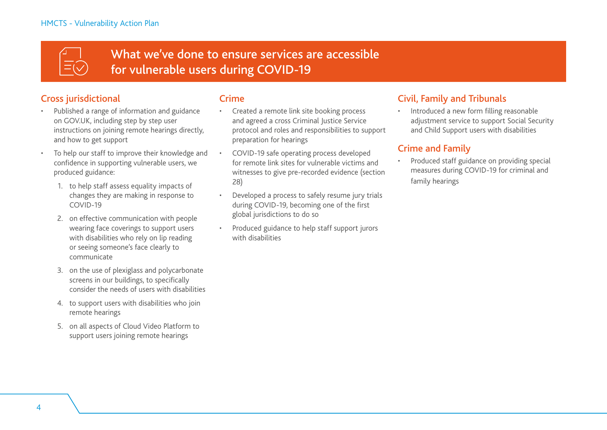

What we've done to ensure services are accessible for vulnerable users during COVID-19

## Cross jurisdictional

- Published a range of information and guidance on GOV.UK, including step by step user instructions on joining remote hearings directly, and how to get support
- To help our staff to improve their knowledge and confidence in supporting vulnerable users, we produced guidance:
	- 1. to help staff assess equality impacts of changes they are making in response to COVID-19
	- 2. on effective communication with people wearing face coverings to support users with disabilities who rely on lip reading or seeing someone's face clearly to communicate
	- 3. on the use of plexiglass and polycarbonate screens in our buildings, to specifically consider the needs of users with disabilities
	- 4. to support users with disabilities who join remote hearings
	- 5. on all aspects of Cloud Video Platform to support users joining remote hearings

#### **Crime**

- Created a remote link site booking process and agreed a cross Criminal Justice Service protocol and roles and responsibilities to support preparation for hearings
- COVID-19 safe operating process developed for remote link sites for vulnerable victims and witnesses to give pre-recorded evidence (section 28)
- Developed a process to safely resume jury trials during COVID-19, becoming one of the first global jurisdictions to do so
- Produced guidance to help staff support jurors with disabilities

#### Civil, Family and Tribunals

• Introduced a new form filling reasonable adjustment service to support Social Security and Child Support users with disabilities

#### Crime and Family

• Produced staff guidance on providing special measures during COVID-19 for criminal and family hearings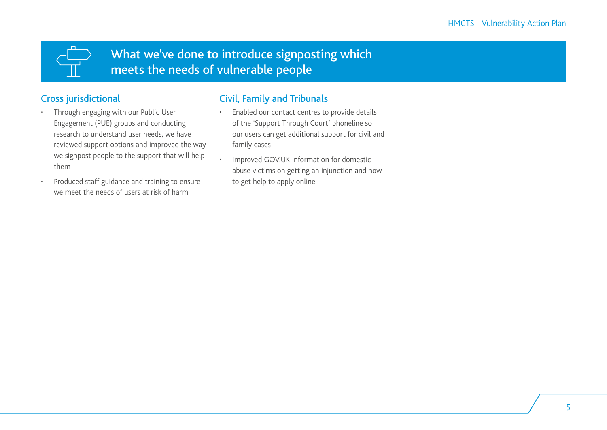What we've done to introduce signposting which meets the needs of vulnerable people

## Cross jurisdictional

- Through engaging with our Public User Engagement (PUE) groups and conducting research to understand user needs, we have reviewed support options and improved the way we signpost people to the support that will help them
- Produced staff guidance and training to ensure we meet the needs of users at risk of harm

## Civil, Family and Tribunals

- Enabled our contact centres to provide details of the 'Support Through Court' phoneline so our users can get additional support for civil and family cases
- Improved GOV.UK information for domestic abuse victims on getting an injunction and how to get help to apply online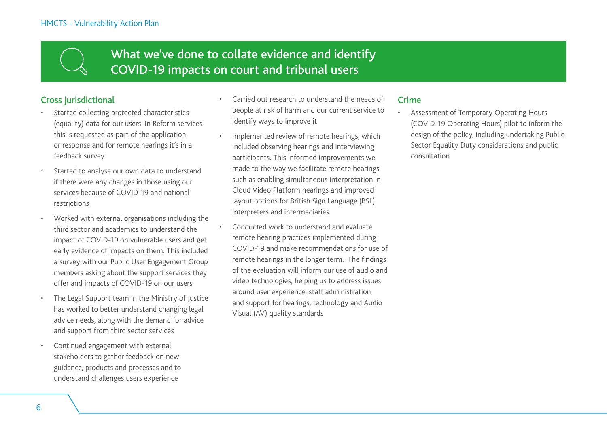# What we've done to collate evidence and identify COVID-19 impacts on court and tribunal users

#### Cross jurisdictional

- Started collecting protected characteristics (equality) data for our users. In Reform services this is requested as part of the application or response and for remote hearings it's in a feedback survey
- Started to analyse our own data to understand if there were any changes in those using our services because of COVID-19 and national restrictions
- Worked with external organisations including the third sector and academics to understand the impact of COVID-19 on vulnerable users and get early evidence of impacts on them. This included a survey with our Public User Engagement Group members asking about the support services they offer and impacts of COVID-19 on our users
- The Legal Support team in the Ministry of Justice has worked to better understand changing legal advice needs, along with the demand for advice and support from third sector services
- Continued engagement with external stakeholders to gather feedback on new guidance, products and processes and to understand challenges users experience
- Carried out research to understand the needs of people at risk of harm and our current service to identify ways to improve it
- Implemented review of remote hearings, which included observing hearings and interviewing participants. This informed improvements we made to the way we facilitate remote hearings such as enabling simultaneous interpretation in Cloud Video Platform hearings and improved layout options for British Sign Language (BSL) interpreters and intermediaries
- Conducted work to understand and evaluate remote hearing practices implemented during COVID-19 and make recommendations for use of remote hearings in the longer term. The findings of the evaluation will inform our use of audio and video technologies, helping us to address issues around user experience, staff administration and support for hearings, technology and Audio Visual (AV) quality standards

#### **Crime**

• Assessment of Temporary Operating Hours (COVID-19 Operating Hours) pilot to inform the design of the policy, including undertaking Public Sector Equality Duty considerations and public consultation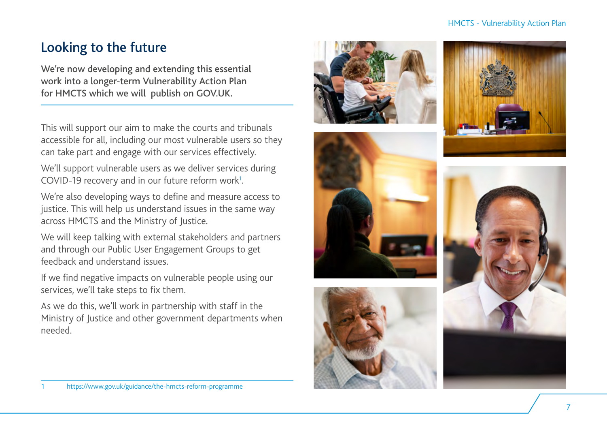#### HMCTS - Vulnerability Action Plan

# Looking to the future

We're now developing and extending this essential work into a longer-term Vulnerability Action Plan for HMCTS which we will publish on GOV.UK.

This will support our aim to make the courts and tribunals accessible for all, including our most vulnerable users so they can take part and engage with our services effectively.

We'll support vulnerable users as we deliver services during COVID-19 recovery and in our future reform work 1 .

We're also developing ways to define and measure access to justice. This will help us understand issues in the same way across HMCTS and the Ministry of Justice.

We will keep talking with external stakeholders and partners and through our Public User Engagement Groups to get feedback and understand issues.

If we find negative impacts on vulnerable people using our services, we'll take steps to fix them.

As we do this, we'll work in partnership with staff in the Ministry of Justice and other government departments when needed.